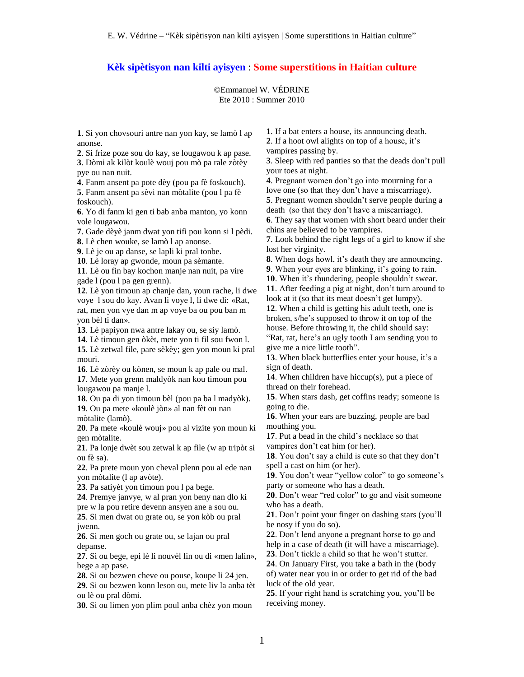## **Kèk sipètisyon nan kilti ayisyen** : **Some superstitions in Haitian culture**

©Emmanuel W. VÉDRINE Ete 2010 : Summer 2010

**1**. Si yon chovsouri antre nan yon kay, se lamò l ap anonse.

**2**. Si frize poze sou do kay, se lougawou k ap pase. **3**. Dòmi ak kilòt koulè wouj pou mò pa rale zòtèy pye ou nan nuit.

**4**. Fanm ansent pa pote dèy (pou pa fè foskouch). **5**. Fanm ansent pa sèvi nan mòtalite (pou l pa fè foskouch).

**6**. Yo di fanm ki gen ti bab anba manton, yo konn vole lougawou.

**7**. Gade dèyè janm dwat yon tifi pou konn si l pèdi.

**8**. Lè chen wouke, se lamò l ap anonse.

**9**. Lè je ou ap danse, se lapli ki pral tonbe.

**10**. Lè loray ap gwonde, moun pa sèmante.

**11**. Lè ou fin bay kochon manje nan nuit, pa vire gade l (pou l pa gen grenn).

**12**. Lè yon timoun ap chanje dan, youn rache, li dwe voye l sou do kay. Avan li voye l, li dwe di: «Rat, rat, men yon vye dan m ap voye ba ou pou ban m yon bèl ti dan».

**13**. Lè papiyon nwa antre lakay ou, se siy lamò.

**14**. Lè timoun gen òkèt, mete yon ti fil sou fwon l.

**15**. Lè zetwal file, pare sèkèy; gen yon moun ki pral mouri.

**16**. Lè zòrèy ou kònen, se moun k ap pale ou mal. **17**. Mete yon grenn maldyòk nan kou timoun pou lougawou pa manje l.

**18**. Ou pa di yon timoun bèl (pou pa ba l madyòk). **19**. Ou pa mete «koulè jòn» al nan fèt ou nan

mòtalite (lamò). **20**. Pa mete «koulè wouj» pou al vizite yon moun ki gen mòtalite.

**21**. Pa lonje dwèt sou zetwal k ap file (w ap tripòt si ou fè sa).

**22**. Pa prete moun yon cheval plenn pou al ede nan yon mòtalite (l ap avòte).

**23**. Pa satiyèt yon timoun pou l pa bege.

**24**. Premye janvye, w al pran yon beny nan dlo ki pre w la pou retire devenn ansyen ane a sou ou.

**25**. Si men dwat ou grate ou, se yon kòb ou pral jwenn.

**26**. Si men goch ou grate ou, se lajan ou pral depanse.

**27**. Si ou bege, epi lè li nouvèl lin ou di «men lalin», bege a ap pase.

**28**. Si ou bezwen cheve ou pouse, koupe li 24 jen.

**29**. Si ou bezwen konn leson ou, mete liv la anba tèt ou lè ou pral dòmi.

**30**. Si ou limen yon plim poul anba chèz yon moun

**1**. If a bat enters a house, its announcing death.

**2**. If a hoot owl alights on top of a house, it's vampires passing by.

**3**. Sleep with red panties so that the deads don't pull your toes at night.

**4**. Pregnant women don't go into mourning for a love one (so that they don't have a miscarriage).

**5**. Pregnant women shouldn't serve people during a death (so that they don't have a miscarriage).

**6**. They say that women with short beard under their chins are believed to be vampires.

**7**. Look behind the right legs of a girl to know if she lost her virginity.

**8**. When dogs howl, it's death they are announcing.

**9**. When your eyes are blinking, it's going to rain.

**10**. When it's thundering, people shouldn't swear.

**11**. After feeding a pig at night, don't turn around to look at it (so that its meat doesn't get lumpy).

**12**. When a child is getting his adult teeth, one is broken, s/he's supposed to throw it on top of the house. Before throwing it, the child should say: "Rat, rat, here's an ugly tooth I am sending you to

give me a nice little tooth".

**13**. When black butterflies enter your house, it's a sign of death.

**14**. When children have hiccup(s), put a piece of thread on their forehead.

**15**. When stars dash, get coffins ready; someone is going to die.

**16**. When your ears are buzzing, people are bad mouthing you.

**17**. Put a bead in the child's necklace so that vampires don't eat him (or her).

**18**. You don't say a child is cute so that they don't spell a cast on him (or her).

**19**. You don't wear "yellow color" to go someone's party or someone who has a death.

**20**. Don't wear "red color" to go and visit someone who has a death.

**21**. Don't point your finger on dashing stars (you'll be nosy if you do so).

**22**. Don't lend anyone a pregnant horse to go and help in a case of death (it will have a miscarriage).

**23**. Don't tickle a child so that he won't stutter.

**24**. On January First, you take a bath in the (body of) water near you in or order to get rid of the bad luck of the old year.

**25**. If your right hand is scratching you, you'll be receiving money.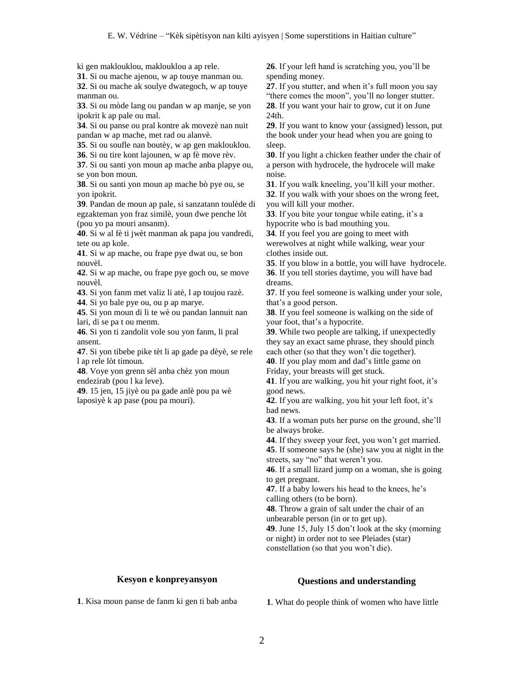ki gen maklouklou, maklouklou a ap rele.

**31**. Si ou mache ajenou, w ap touye manman ou.

**32**. Si ou mache ak soulye dwategoch, w ap touye manman ou.

**33**. Si ou mòde lang ou pandan w ap manje, se yon ipokrit k ap pale ou mal.

**34**. Si ou panse ou pral kontre ak movezè nan nuit pandan w ap mache, met rad ou alanvè.

**35**. Si ou soufle nan boutèy, w ap gen maklouklou. **36**. Si ou tire kont lajounen, w ap fè move rèv.

**37**. Si ou santi yon moun ap mache anba plapye ou, se yon bon moun.

**38**. Si ou santi yon moun ap mache bò pye ou, se yon ipokrit.

**39**. Pandan de moun ap pale, si sanzatann toulède di egzakteman yon fraz similè, youn dwe penche lòt (pou yo pa mouri ansanm).

**40**. Si w al fè ti jwèt manman ak papa jou vandredi, tete ou ap kole.

**41**. Si w ap mache, ou frape pye dwat ou, se bon nouvèl.

**42**. Si w ap mache, ou frape pye goch ou, se move nouvèl.

**43**. Si yon fanm met valiz li atè, l ap toujou razè.

**44**. Si yo bale pye ou, ou p ap marye.

**45**. Si yon moun di li te wè ou pandan lannuit nan lari, di se pa t ou menm.

**46**. Si yon ti zandolit vole sou yon fanm, li pral ansent.

**47**. Si yon tibebe pike tèt li ap gade pa dèyè, se rele l ap rele lòt timoun.

**48**. Voye yon grenn sèl anba chèz yon moun endezirab (pou l ka leve).

**49**. 15 jen, 15 jiyè ou pa gade anlè pou pa wè laposiyè k ap pase (pou pa mouri).

**26**. If your left hand is scratching you, you'll be spending money.

**27**. If you stutter, and when it's full moon you say "there comes the moon", you'll no longer stutter. **28**. If you want your hair to grow, cut it on June 24th.

**29**. If you want to know your (assigned) lesson, put the book under your head when you are going to sleep.

**30**. If you light a chicken feather under the chair of a person with hydrocele, the hydrocele will make noise.

**31**. If you walk kneeling, you'll kill your mother. **32**. If you walk with your shoes on the wrong feet, you will kill your mother.

**33**. If you bite your tongue while eating, it's a hypocrite who is bad mouthing you.

**34**. If you feel you are going to meet with werewolves at night while walking, wear your clothes inside out.

**35**. If you blow in a bottle, you will have hydrocele. **36**. If you tell stories daytime, you will have bad dreams.

**37**. If you feel someone is walking under your sole, that's a good person.

**38**. If you feel someone is walking on the side of your foot, that's a hypocrite.

**39**. While two people are talking, if unexpectedly they say an exact same phrase, they should pinch each other (so that they won't die together).

**40**. If you play mom and dad's little game on

Friday, your breasts will get stuck.

**41**. If you are walking, you hit your right foot, it's good news.

**42**. If you are walking, you hit your left foot, it's bad news.

**43**. If a woman puts her purse on the ground, she'll be always broke.

**44**. If they sweep your feet, you won't get married.

**45**. If someone says he (she) saw you at night in the streets, say "no" that weren't you.

**46**. If a small lizard jump on a woman, she is going to get pregnant.

**47**. If a baby lowers his head to the knees, he's calling others (to be born).

**48**. Throw a grain of salt under the chair of an

unbearable person (in or to get up).

**49**. June 15, July 15 don't look at the sky (morning or night) in order not to see Pleiades (star) constellation (so that you won't die).

## **Kesyon e konpreyansyon**

## **Questions and understanding**

**1**. Kisa moun panse de fanm ki gen ti bab anba

**1**. What do people think of women who have little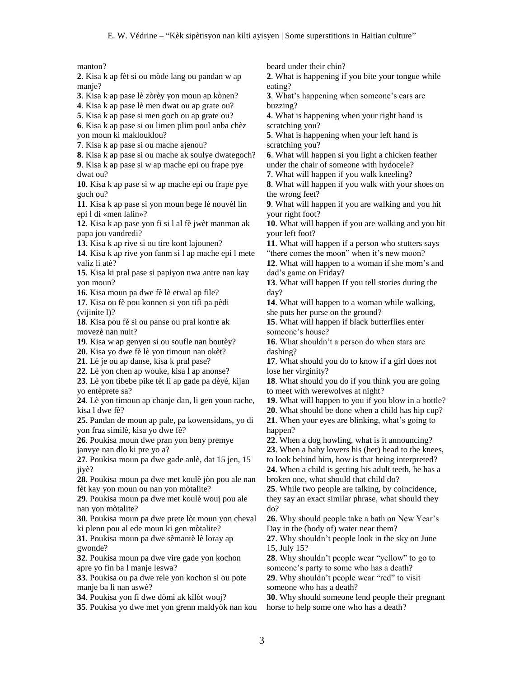manton?

**2**. Kisa k ap fèt si ou mòde lang ou pandan w ap manje?

**3**. Kisa k ap pase lè zòrèy yon moun ap kònen?

**4**. Kisa k ap pase lè men dwat ou ap grate ou?

**5**. Kisa k ap pase si men goch ou ap grate ou?

**6**. Kisa k ap pase si ou limen plim poul anba chèz yon moun ki maklouklou?

**7**. Kisa k ap pase si ou mache ajenou?

**8**. Kisa k ap pase si ou mache ak soulye dwategoch?

**9**. Kisa k ap pase si w ap mache epi ou frape pye dwat ou?

**10**. Kisa k ap pase si w ap mache epi ou frape pye goch ou?

**11**. Kisa k ap pase si yon moun bege lè nouvèl lin epi l di «men lalin»?

**12**. Kisa k ap pase yon fi si l al fè jwèt manman ak papa jou vandredi?

**13**. Kisa k ap rive si ou tire kont lajounen?

**14**. Kisa k ap rive yon fanm si l ap mache epi l mete valiz li atè?

**15**. Kisa ki pral pase si papiyon nwa antre nan kay yon moun?

**16**. Kisa moun pa dwe fè lè etwal ap file?

**17**. Kisa ou fè pou konnen si yon tifi pa pèdi (vijinite l)?

**18**. Kisa pou fè si ou panse ou pral kontre ak movezè nan nuit?

**19**. Kisa w ap genyen si ou soufle nan boutèy?

**20**. Kisa yo dwe fè lè yon timoun nan okèt?

**21**. Lè je ou ap danse, kisa k pral pase?

**22**. Lè yon chen ap wouke, kisa l ap anonse?

**23**. Lè yon tibebe pike tèt li ap gade pa dèyè, kijan yo entèprete sa?

**24**. Lè yon timoun ap chanje dan, li gen youn rache, kisa l dwe fè?

**25**. Pandan de moun ap pale, pa kowensidans, yo di yon fraz similè, kisa yo dwe fè?

**26**. Poukisa moun dwe pran yon beny premye janvye nan dlo ki pre yo a?

**27**. Poukisa moun pa dwe gade anlè, dat 15 jen, 15 jiyè?

**28**. Poukisa moun pa dwe met koulè jòn pou ale nan fèt kay yon moun ou nan yon mòtalite?

**29**. Poukisa moun pa dwe met koulè wouj pou ale nan yon mòtalite?

**30**. Poukisa moun pa dwe prete lòt moun yon cheval ki plenn pou al ede moun ki gen mòtalite?

**31**. Poukisa moun pa dwe sèmantè lè loray ap gwonde?

**32**. Poukisa moun pa dwe vire gade yon kochon apre yo fin ba l manje leswa?

**33**. Poukisa ou pa dwe rele yon kochon si ou pote manje ba li nan aswè?

**34**. Poukisa yon fi dwe dòmi ak kilòt wouj?

**35**. Poukisa yo dwe met yon grenn maldyòk nan kou

beard under their chin?

**2**. What is happening if you bite your tongue while eating?

**3**. What's happening when someone's ears are buzzing?

**4**. What is happening when your right hand is scratching you?

**5**. What is happening when your left hand is scratching you?

**6**. What will happen si you light a chicken feather under the chair of someone with hydocele?

**7**. What will happen if you walk kneeling?

**8**. What will happen if you walk with your shoes on the wrong feet?

**9**. What will happen if you are walking and you hit your right foot?

**10**. What will happen if you are walking and you hit your left foot?

**11**. What will happen if a person who stutters says "there comes the moon" when it's new moon?

**12**. What will happen to a woman if she mom's and dad's game on Friday?

**13**. What will happen If you tell stories during the day?

**14**. What will happen to a woman while walking, she puts her purse on the ground?

**15**. What will happen if black butterflies enter someone's house?

**16**. What shouldn't a person do when stars are dashing?

**17**. What should you do to know if a girl does not lose her virginity?

**18**. What should you do if you think you are going to meet with werewolves at night?

**19**. What will happen to you if you blow in a bottle?

**20**. What should be done when a child has hip cup?

**21**. When your eyes are blinking, what's going to happen?

**22**. When a dog howling, what is it announcing?

**23**. When a baby lowers his (her) head to the knees, to look behind him, how is that being interpreted?

**24**. When a child is getting his adult teeth, he has a broken one, what should that child do?

**25**. While two people are talking, by coincidence, they say an exact similar phrase, what should they do?

**26**. Why should people take a bath on New Year's Day in the (body of) water near them?

**27**. Why shouldn't people look in the sky on June 15, July 15?

**28**. Why shouldn't people wear "yellow" to go to someone's party to some who has a death?

**29**. Why shouldn't people wear "red" to visit someone who has a death?

**30**. Why should someone lend people their pregnant horse to help some one who has a death?